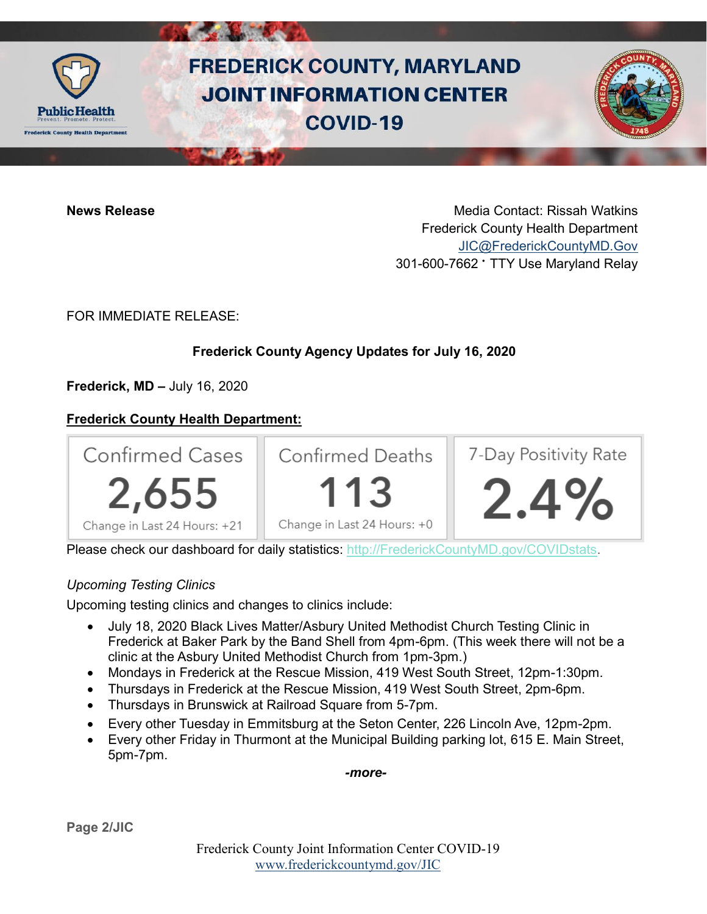

# **FREDERICK COUNTY, MARYLAND JOINT INFORMATION CENTER COVID-19**

**News Release** Media Contact: Rissah Watkins Frederick County Health Department [JIC@FrederickCountyMD.Gov](mailto:JIC@FrederickCountyMD.Gov) 301-600-7662 • TTY Use Maryland Relay

FOR IMMEDIATE RELEASE:

## **Frederick County Agency Updates for July 16, 2020**

**Frederick, MD –** July 16, 2020

### **Frederick County Health Department:**



Please check our dashboard for daily statistics: [http://FrederickCountyMD.gov/COVIDstats.](http://frederickcountymd.gov/COVIDstats)

### *Upcoming Testing Clinics*

Upcoming testing clinics and changes to clinics include:

- July 18, 2020 Black Lives Matter/Asbury United Methodist Church Testing Clinic in Frederick at Baker Park by the Band Shell from 4pm-6pm. (This week there will not be a clinic at the Asbury United Methodist Church from 1pm-3pm.)
- Mondays in Frederick at the Rescue Mission, 419 West South Street, 12pm-1:30pm.
- Thursdays in Frederick at the Rescue Mission, 419 West South Street, 2pm-6pm.
- Thursdays in Brunswick at Railroad Square from 5-7pm.
- Every other Tuesday in Emmitsburg at the Seton Center, 226 Lincoln Ave, 12pm-2pm.
- Every other Friday in Thurmont at the Municipal Building parking lot, 615 E. Main Street, 5pm-7pm.

*-more-*

**Page 2/JIC**